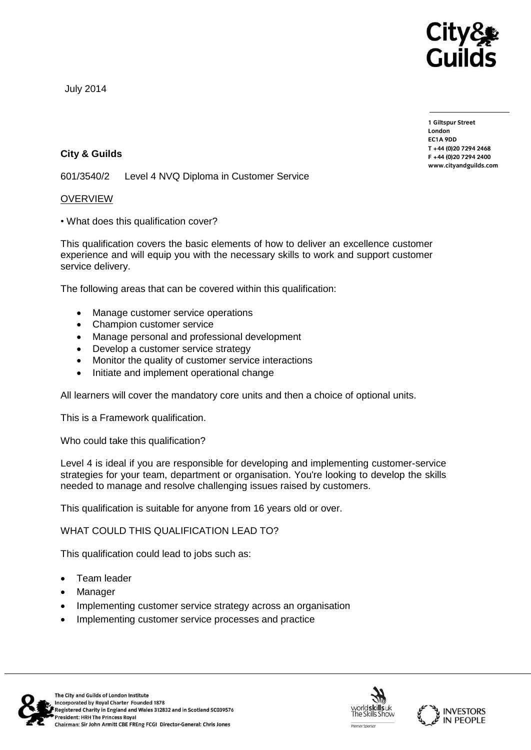

July 2014

**City & Guilds**

601/3540/2 Level 4 NVQ Diploma in Customer Service

## OVERVIEW

• What does this qualification cover?

This qualification covers the basic elements of how to deliver an excellence customer experience and will equip you with the necessary skills to work and support customer service delivery.

The following areas that can be covered within this qualification:

- Manage customer service operations
- Champion customer service
- Manage personal and professional development
- Develop a customer service strategy
- Monitor the quality of customer service interactions
- Initiate and implement operational change

All learners will cover the mandatory core units and then a choice of optional units.

This is a Framework qualification.

Who could take this qualification?

Level 4 is ideal if you are responsible for developing and implementing customer-service strategies for your team, department or organisation. You're looking to develop the skills needed to manage and resolve challenging issues raised by customers.

This qualification is suitable for anyone from 16 years old or over.

WHAT COULD THIS QUALIFICATION LEAD TO?

This qualification could lead to jobs such as:

- Team leader
- Manager
- Implementing customer service strategy across an organisation
- Implementing customer service processes and practice







**1 Giltspur Street EC1A 9DD**  $T + 44 (0)20 7294 2468$ **T +44 (0)20 7294 246[8](http://www.cityandguilds.com/)**  $www.cityandguilds.com$ **[www.cityandguilds.com](http://www.cityandguilds.com/)**